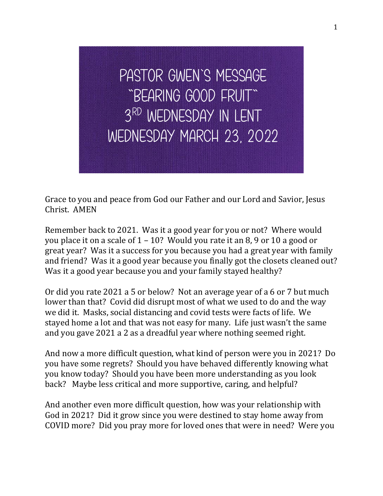Pastor Gwen's Message "Bearing Good Fruit" 3<sup>RD</sup> WEDNESDAY IN LENT Wednesday March 23, 2022

Grace to you and peace from God our Father and our Lord and Savior, Jesus Christ. AMEN

Remember back to 2021. Was it a good year for you or not? Where would you place it on a scale of 1 – 10? Would you rate it an 8, 9 or 10 a good or great year? Was it a success for you because you had a great year with family and friend? Was it a good year because you finally got the closets cleaned out? Was it a good year because you and your family stayed healthy?

Or did you rate 2021 a 5 or below? Not an average year of a 6 or 7 but much lower than that? Covid did disrupt most of what we used to do and the way we did it. Masks, social distancing and covid tests were facts of life. We stayed home a lot and that was not easy for many. Life just wasn't the same and you gave 2021 a 2 as a dreadful year where nothing seemed right.

And now a more difficult question, what kind of person were you in 2021? Do you have some regrets? Should you have behaved differently knowing what you know today? Should you have been more understanding as you look back? Maybe less critical and more supportive, caring, and helpful?

And another even more difficult question, how was your relationship with God in 2021? Did it grow since you were destined to stay home away from COVID more? Did you pray more for loved ones that were in need? Were you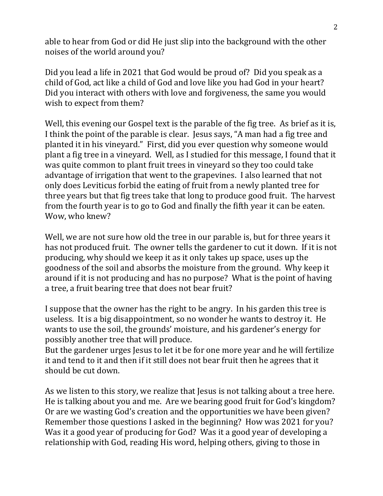able to hear from God or did He just slip into the background with the other noises of the world around you?

Did you lead a life in 2021 that God would be proud of? Did you speak as a child of God, act like a child of God and love like you had God in your heart? Did you interact with others with love and forgiveness, the same you would wish to expect from them?

Well, this evening our Gospel text is the parable of the fig tree. As brief as it is, I think the point of the parable is clear. Jesus says, "A man had a fig tree and planted it in his vineyard." First, did you ever question why someone would plant a fig tree in a vineyard. Well, as I studied for this message, I found that it was quite common to plant fruit trees in vineyard so they too could take advantage of irrigation that went to the grapevines. I also learned that not only does Leviticus forbid the eating of fruit from a newly planted tree for three years but that fig trees take that long to produce good fruit. The harvest from the fourth year is to go to God and finally the fifth year it can be eaten. Wow, who knew?

Well, we are not sure how old the tree in our parable is, but for three years it has not produced fruit. The owner tells the gardener to cut it down. If it is not producing, why should we keep it as it only takes up space, uses up the goodness of the soil and absorbs the moisture from the ground. Why keep it around if it is not producing and has no purpose? What is the point of having a tree, a fruit bearing tree that does not bear fruit?

I suppose that the owner has the right to be angry. In his garden this tree is useless. It is a big disappointment, so no wonder he wants to destroy it. He wants to use the soil, the grounds' moisture, and his gardener's energy for possibly another tree that will produce.

But the gardener urges Jesus to let it be for one more year and he will fertilize it and tend to it and then if it still does not bear fruit then he agrees that it should be cut down.

As we listen to this story, we realize that Jesus is not talking about a tree here. He is talking about you and me. Are we bearing good fruit for God's kingdom? Or are we wasting God's creation and the opportunities we have been given? Remember those questions I asked in the beginning? How was 2021 for you? Was it a good year of producing for God? Was it a good year of developing a relationship with God, reading His word, helping others, giving to those in